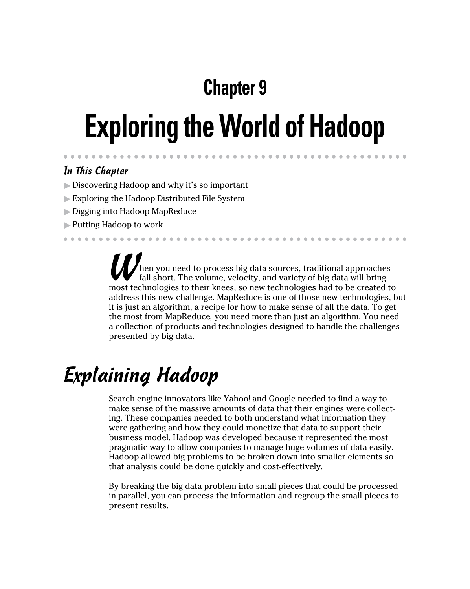# **Chapter 9**

# **Exploring the World of Hadoop**

#### In This Chapter

. . . . . . . . .

- ▶ Discovering Hadoop and why it's so important
- ▶ Exploring the Hadoop Distributed File System
- ▶ Digging into Hadoop MapReduce
- ▶ Putting Hadoop to work

Then you need to process big data sources, traditional approaches fall short. The volume, velocity, and variety of big data will bring most technologies to their knees, so new technologies had to be created to address this new challenge. MapReduce is one of those new technologies, but it is just an algorithm, a recipe for how to make sense of all the data. To get the most from MapReduce*,* you need more than just an algorithm. You need a collection of products and technologies designed to handle the challenges presented by big data.

-----------------------------

# Explaining Hadoop

Search engine innovators like Yahoo! and Google needed to find a way to make sense of the massive amounts of data that their engines were collecting. These companies needed to both understand what information they were gathering and how they could monetize that data to support their business model. Hadoop was developed because it represented the most pragmatic way to allow companies to manage huge volumes of data easily. Hadoop allowed big problems to be broken down into smaller elements so that analysis could be done quickly and cost-effectively.

By breaking the big data problem into small pieces that could be processed in parallel, you can process the information and regroup the small pieces to present results.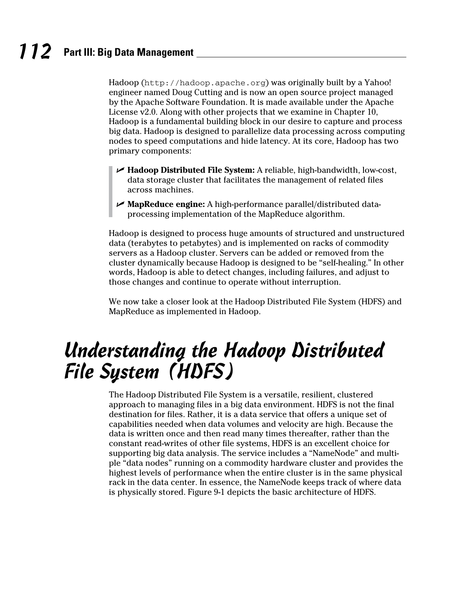Hadoop ([http://hadoop.apache.org](http://hadoop.apache.org/)) was originally built by a Yahoo! engineer named Doug Cutting and is now an open source project managed by the Apache Software Foundation. It is made available under the Apache License v2.0. Along with other projects that we examine in Chapter 10, Hadoop is a fundamental building block in our desire to capture and process big data. Hadoop is designed to parallelize data processing across computing nodes to speed computations and hide latency. At its core, Hadoop has two primary components:

- ✓ **Hadoop Distributed File System:** A reliable, high-bandwidth, low-cost, data storage cluster that facilitates the management of related files across machines.
- ✓ **MapReduce engine:** A high-performance parallel/distributed dataprocessing implementation of the MapReduce algorithm.

Hadoop is designed to process huge amounts of structured and unstructured data (terabytes to petabytes) and is implemented on racks of commodity servers as a Hadoop cluster. Servers can be added or removed from the cluster dynamically because Hadoop is designed to be "self-healing." In other words, Hadoop is able to detect changes, including failures, and adjust to those changes and continue to operate without interruption.

We now take a closer look at the Hadoop Distributed File System (HDFS) and MapReduce as implemented in Hadoop.

## Understanding the Hadoop Distributed File System (HDFS)

The Hadoop Distributed File System is a versatile, resilient, clustered approach to managing files in a big data environment. HDFS is not the final destination for files. Rather, it is a data service that offers a unique set of capabilities needed when data volumes and velocity are high. Because the data is written once and then read many times thereafter, rather than the constant read-writes of other file systems, HDFS is an excellent choice for supporting big data analysis. The service includes a "NameNode" and multiple "data nodes" running on a commodity hardware cluster and provides the highest levels of performance when the entire cluster is in the same physical rack in the data center. In essence, the NameNode keeps track of where data is physically stored. Figure 9-1 depicts the basic architecture of HDFS.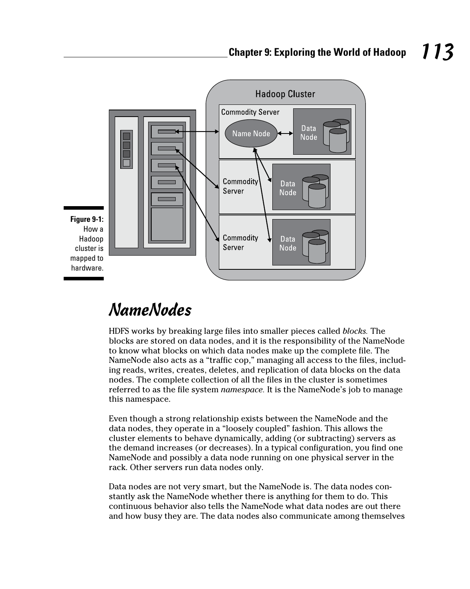

#### NameNodes

HDFS works by breaking large files into smaller pieces called *blocks.* The blocks are stored on data nodes, and it is the responsibility of the NameNode to know what blocks on which data nodes make up the complete file. The NameNode also acts as a "traffic cop," managing all access to the files, including reads, writes, creates, deletes, and replication of data blocks on the data nodes. The complete collection of all the files in the cluster is sometimes referred to as the file system *namespace.* It is the NameNode's job to manage this namespace.

Even though a strong relationship exists between the NameNode and the data nodes, they operate in a "loosely coupled" fashion. This allows the cluster elements to behave dynamically, adding (or subtracting) servers as the demand increases (or decreases). In a typical configuration, you find one NameNode and possibly a data node running on one physical server in the rack. Other servers run data nodes only.

Data nodes are not very smart, but the NameNode is. The data nodes constantly ask the NameNode whether there is anything for them to do. This continuous behavior also tells the NameNode what data nodes are out there and how busy they are. The data nodes also communicate among themselves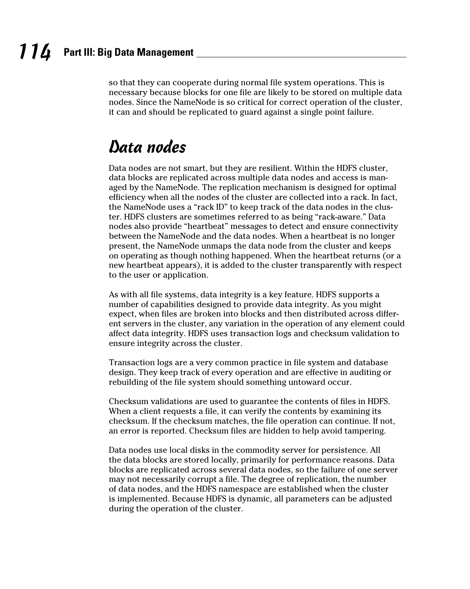so that they can cooperate during normal file system operations. This is necessary because blocks for one file are likely to be stored on multiple data nodes. Since the NameNode is so critical for correct operation of the cluster, it can and should be replicated to guard against a single point failure.

#### Data nodes

Data nodes are not smart, but they are resilient. Within the HDFS cluster, data blocks are replicated across multiple data nodes and access is managed by the NameNode. The replication mechanism is designed for optimal efficiency when all the nodes of the cluster are collected into a rack. In fact, the NameNode uses a "rack ID" to keep track of the data nodes in the cluster. HDFS clusters are sometimes referred to as being "rack-aware." Data nodes also provide "heartbeat" messages to detect and ensure connectivity between the NameNode and the data nodes. When a heartbeat is no longer present, the NameNode unmaps the data node from the cluster and keeps on operating as though nothing happened. When the heartbeat returns (or a new heartbeat appears), it is added to the cluster transparently with respect to the user or application.

As with all file systems, data integrity is a key feature. HDFS supports a number of capabilities designed to provide data integrity. As you might expect, when files are broken into blocks and then distributed across different servers in the cluster, any variation in the operation of any element could affect data integrity. HDFS uses transaction logs and checksum validation to ensure integrity across the cluster.

Transaction logs are a very common practice in file system and database design. They keep track of every operation and are effective in auditing or rebuilding of the file system should something untoward occur.

Checksum validations are used to guarantee the contents of files in HDFS. When a client requests a file, it can verify the contents by examining its checksum. If the checksum matches, the file operation can continue. If not, an error is reported. Checksum files are hidden to help avoid tampering.

Data nodes use local disks in the commodity server for persistence. All the data blocks are stored locally, primarily for performance reasons. Data blocks are replicated across several data nodes, so the failure of one server may not necessarily corrupt a file. The degree of replication, the number of data nodes, and the HDFS namespace are established when the cluster is implemented. Because HDFS is dynamic, all parameters can be adjusted during the operation of the cluster.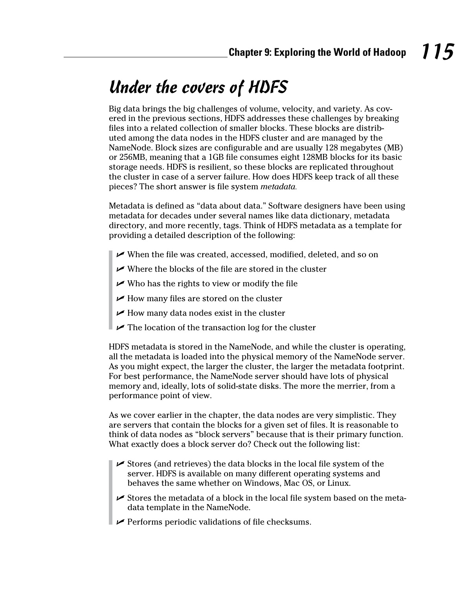#### Under the covers of HDFS

Big data brings the big challenges of volume, velocity, and variety. As covered in the previous sections, HDFS addresses these challenges by breaking files into a related collection of smaller blocks. These blocks are distributed among the data nodes in the HDFS cluster and are managed by the NameNode. Block sizes are configurable and are usually 128 megabytes (MB) or 256MB, meaning that a 1GB file consumes eight 128MB blocks for its basic storage needs. HDFS is resilient, so these blocks are replicated throughout the cluster in case of a server failure. How does HDFS keep track of all these pieces? The short answer is file system *metadata.*

Metadata is defined as "data about data." Software designers have been using metadata for decades under several names like data dictionary, metadata directory, and more recently, tags. Think of HDFS metadata as a template for providing a detailed description of the following:

- $\triangleright$  When the file was created, accessed, modified, deleted, and so on
- $\triangleright$  Where the blocks of the file are stored in the cluster
- $\vee$  Who has the rights to view or modify the file
- $\blacktriangleright$  How many files are stored on the cluster
- $\blacktriangleright$  How many data nodes exist in the cluster
- $\triangleright$  The location of the transaction log for the cluster

HDFS metadata is stored in the NameNode, and while the cluster is operating, all the metadata is loaded into the physical memory of the NameNode server. As you might expect, the larger the cluster, the larger the metadata footprint. For best performance, the NameNode server should have lots of physical memory and, ideally, lots of solid-state disks. The more the merrier, from a performance point of view.

As we cover earlier in the chapter, the data nodes are very simplistic. They are servers that contain the blocks for a given set of files. It is reasonable to think of data nodes as "block servers" because that is their primary function. What exactly does a block server do? Check out the following list:

- $\triangleright$  Stores (and retrieves) the data blocks in the local file system of the server. HDFS is available on many different operating systems and behaves the same whether on Windows, Mac OS, or Linux.
- $\triangleright$  Stores the metadata of a block in the local file system based on the metadata template in the NameNode.
- $\triangleright$  Performs periodic validations of file checksums.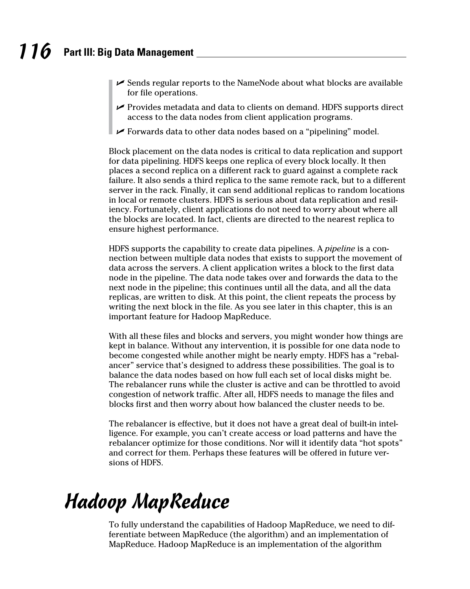- $\triangleright$  Sends regular reports to the NameNode about what blocks are available for file operations.
- ✓ Provides metadata and data to clients on demand. HDFS supports direct access to the data nodes from client application programs.
- $\triangleright$  Forwards data to other data nodes based on a "pipelining" model.

Block placement on the data nodes is critical to data replication and support for data pipelining. HDFS keeps one replica of every block locally. It then places a second replica on a different rack to guard against a complete rack failure. It also sends a third replica to the same remote rack, but to a different server in the rack. Finally, it can send additional replicas to random locations in local or remote clusters. HDFS is serious about data replication and resiliency. Fortunately, client applications do not need to worry about where all the blocks are located. In fact, clients are directed to the nearest replica to ensure highest performance.

HDFS supports the capability to create data pipelines. A *pipeline* is a connection between multiple data nodes that exists to support the movement of data across the servers. A client application writes a block to the first data node in the pipeline. The data node takes over and forwards the data to the next node in the pipeline; this continues until all the data, and all the data replicas, are written to disk. At this point, the client repeats the process by writing the next block in the file. As you see later in this chapter, this is an important feature for Hadoop MapReduce.

With all these files and blocks and servers, you might wonder how things are kept in balance. Without any intervention, it is possible for one data node to become congested while another might be nearly empty. HDFS has a "rebalancer" service that's designed to address these possibilities. The goal is to balance the data nodes based on how full each set of local disks might be. The rebalancer runs while the cluster is active and can be throttled to avoid congestion of network traffic. After all, HDFS needs to manage the files and blocks first and then worry about how balanced the cluster needs to be.

The rebalancer is effective, but it does not have a great deal of built-in intelligence. For example, you can't create access or load patterns and have the rebalancer optimize for those conditions. Nor will it identify data "hot spots" and correct for them. Perhaps these features will be offered in future versions of HDFS.

# Hadoop MapReduce

To fully understand the capabilities of Hadoop MapReduce, we need to differentiate between MapReduce (the algorithm) and an implementation of MapReduce. Hadoop MapReduce is an implementation of the algorithm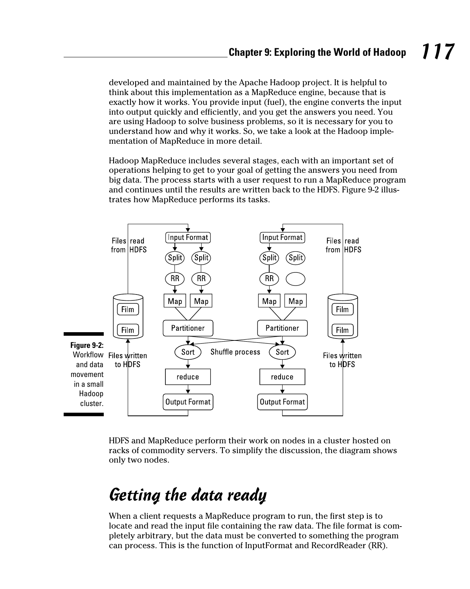developed and maintained by the Apache Hadoop project. It is helpful to think about this implementation as a MapReduce engine, because that is exactly how it works. You provide input (fuel), the engine converts the input into output quickly and efficiently, and you get the answers you need. You are using Hadoop to solve business problems, so it is necessary for you to understand how and why it works. So, we take a look at the Hadoop implementation of MapReduce in more detail.

Hadoop MapReduce includes several stages, each with an important set of operations helping to get to your goal of getting the answers you need from big data. The process starts with a user request to run a MapReduce program and continues until the results are written back to the HDFS. Figure 9-2 illustrates how MapReduce performs its tasks.



HDFS and MapReduce perform their work on nodes in a cluster hosted on racks of commodity servers. To simplify the discussion, the diagram shows only two nodes.

#### Getting the data ready

When a client requests a MapReduce program to run, the first step is to locate and read the input file containing the raw data. The file format is completely arbitrary, but the data must be converted to something the program can process. This is the function of InputFormat and RecordReader (RR).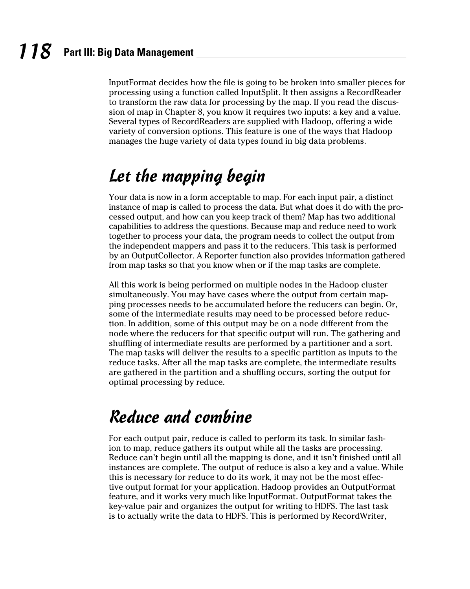InputFormat decides how the file is going to be broken into smaller pieces for processing using a function called InputSplit. It then assigns a RecordReader to transform the raw data for processing by the map. If you read the discussion of map in Chapter 8, you know it requires two inputs: a key and a value. Several types of RecordReaders are supplied with Hadoop, offering a wide variety of conversion options. This feature is one of the ways that Hadoop manages the huge variety of data types found in big data problems.

#### Let the mapping begin

Your data is now in a form acceptable to map. For each input pair, a distinct instance of map is called to process the data. But what does it do with the processed output, and how can you keep track of them? Map has two additional capabilities to address the questions. Because map and reduce need to work together to process your data, the program needs to collect the output from the independent mappers and pass it to the reducers. This task is performed by an OutputCollector. A Reporter function also provides information gathered from map tasks so that you know when or if the map tasks are complete.

All this work is being performed on multiple nodes in the Hadoop cluster simultaneously. You may have cases where the output from certain mapping processes needs to be accumulated before the reducers can begin. Or, some of the intermediate results may need to be processed before reduction. In addition, some of this output may be on a node different from the node where the reducers for that specific output will run. The gathering and shuffling of intermediate results are performed by a partitioner and a sort. The map tasks will deliver the results to a specific partition as inputs to the reduce tasks. After all the map tasks are complete, the intermediate results are gathered in the partition and a shuffling occurs, sorting the output for optimal processing by reduce.

#### Reduce and combine

For each output pair, reduce is called to perform its task. In similar fashion to map, reduce gathers its output while all the tasks are processing. Reduce can't begin until all the mapping is done, and it isn't finished until all instances are complete. The output of reduce is also a key and a value. While this is necessary for reduce to do its work, it may not be the most effective output format for your application. Hadoop provides an OutputFormat feature, and it works very much like InputFormat. OutputFormat takes the key-value pair and organizes the output for writing to HDFS. The last task is to actually write the data to HDFS. This is performed by RecordWriter,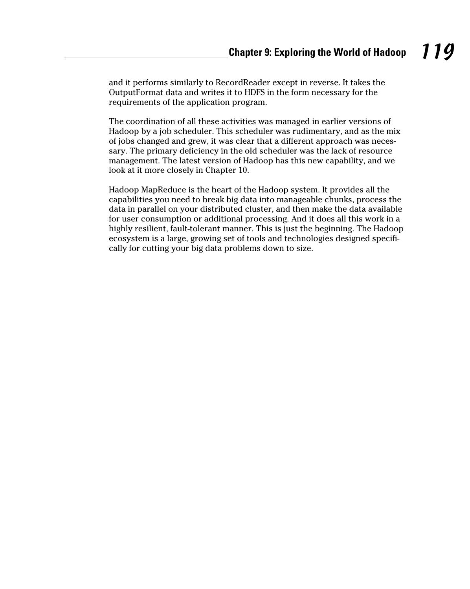and it performs similarly to RecordReader except in reverse. It takes the OutputFormat data and writes it to HDFS in the form necessary for the requirements of the application program.

The coordination of all these activities was managed in earlier versions of Hadoop by a job scheduler. This scheduler was rudimentary, and as the mix of jobs changed and grew, it was clear that a different approach was necessary. The primary deficiency in the old scheduler was the lack of resource management. The latest version of Hadoop has this new capability, and we look at it more closely in Chapter 10.

Hadoop MapReduce is the heart of the Hadoop system. It provides all the capabilities you need to break big data into manageable chunks, process the data in parallel on your distributed cluster, and then make the data available for user consumption or additional processing. And it does all this work in a highly resilient, fault-tolerant manner. This is just the beginning. The Hadoop ecosystem is a large, growing set of tools and technologies designed specifically for cutting your big data problems down to size.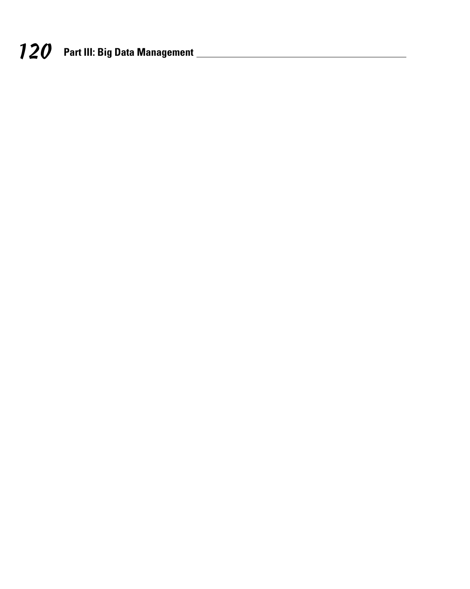#### **Part III: Big Data Management**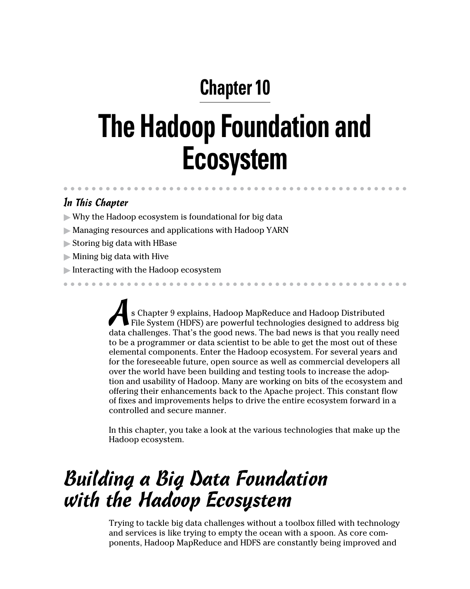# **Chapter 10**

# **The Hadoop Foundation and Ecosystem**

#### In This Chapter

- ▶ Why the Hadoop ecosystem is foundational for big data
- ▶ Managing resources and applications with Hadoop YARN
- ▶ Storing big data with HBase
- $\triangleright$  Mining big data with Hive
- ▶ Interacting with the Hadoop ecosystem

s Chapter 9 explains, Hadoop MapReduce and Hadoop Distributed<br>File System (HDFS) are powerful technologies designed to address big data challenges. That's the good news. The bad news is that you really need to be a programmer or data scientist to be able to get the most out of these elemental components. Enter the Hadoop ecosystem. For several years and for the foreseeable future, open source as well as commercial developers all over the world have been building and testing tools to increase the adoption and usability of Hadoop. Many are working on bits of the ecosystem and offering their enhancements back to the Apache project. This constant flow of fixes and improvements helps to drive the entire ecosystem forward in a controlled and secure manner.

In this chapter, you take a look at the various technologies that make up the Hadoop ecosystem.

# Building a Big Data Foundation with the Hadoop Ecosystem

Trying to tackle big data challenges without a toolbox filled with technology and services is like trying to empty the ocean with a spoon. As core components, Hadoop MapReduce and HDFS are constantly being improved and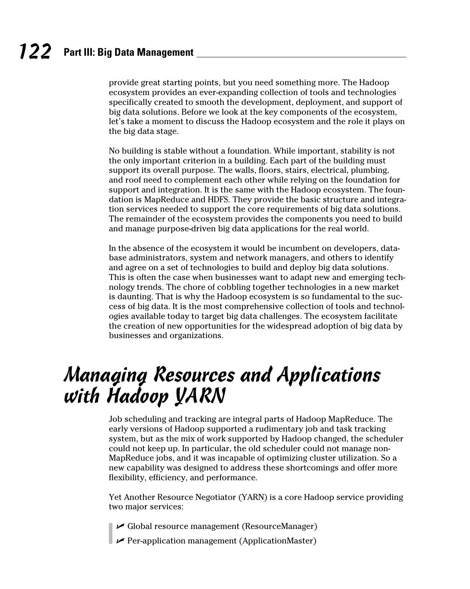provide great starting points, but you need something more. The Hadoop ecosystem provides an ever-expanding collection of tools and technologies specifically created to smooth the development, deployment, and support of big data solutions. Before we look at the key components of the ecosystem, let's take a moment to discuss the Hadoop ecosystem and the role it plays on the big data stage.

No building is stable without a foundation. While important, stability is not the only important criterion in a building. Each part of the building must support its overall purpose. The walls, floors, stairs, electrical, plumbing, and roof need to complement each other while relying on the foundation for support and integration. It is the same with the Hadoop ecosystem. The foundation is MapReduce and HDFS. They provide the basic structure and integration services needed to support the core requirements of big data solutions. The remainder of the ecosystem provides the components you need to build and manage purpose-driven big data applications for the real world.

In the absence of the ecosystem it would be incumbent on developers, database administrators, system and network managers, and others to identify and agree on a set of technologies to build and deploy big data solutions. This is often the case when businesses want to adapt new and emerging technology trends. The chore of cobbling together technologies in a new market is daunting. That is why the Hadoop ecosystem is so fundamental to the success of big data. It is the most comprehensive collection of tools and technologies available today to target big data challenges. The ecosystem facilitate the creation of new opportunities for the widespread adoption of big data by businesses and organizations.

# Managing Resources and Applications with Hadoop YARN

Job scheduling and tracking are integral parts of Hadoop MapReduce. The early versions of Hadoop supported a rudimentary job and task tracking system, but as the mix of work supported by Hadoop changed, the scheduler could not keep up. In particular, the old scheduler could not manage non-MapReduce jobs, and it was incapable of optimizing cluster utilization. So a new capability was designed to address these shortcomings and offer more flexibility, efficiency, and performance.

Yet Another Resource Negotiator (YARN) is a core Hadoop service providing two major services:

- ✓ Global resource management (ResourceManager)
- ✓ Per-application management (ApplicationMaster)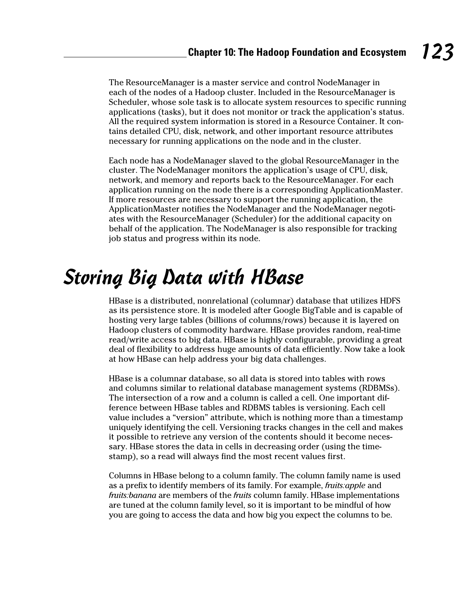The ResourceManager is a master service and control NodeManager in each of the nodes of a Hadoop cluster. Included in the ResourceManager is Scheduler, whose sole task is to allocate system resources to specific running applications (tasks), but it does not monitor or track the application's status. All the required system information is stored in a Resource Container. It contains detailed CPU, disk, network, and other important resource attributes necessary for running applications on the node and in the cluster.

Each node has a NodeManager slaved to the global ResourceManager in the cluster. The NodeManager monitors the application's usage of CPU, disk, network, and memory and reports back to the ResourceManager. For each application running on the node there is a corresponding ApplicationMaster. If more resources are necessary to support the running application, the ApplicationMaster notifies the NodeManager and the NodeManager negotiates with the ResourceManager (Scheduler) for the additional capacity on behalf of the application. The NodeManager is also responsible for tracking job status and progress within its node.

# Storing Big Data with HBase

HBase is a distributed, nonrelational (columnar) database that utilizes HDFS as its persistence store. It is modeled after Google BigTable and is capable of hosting very large tables (billions of columns/rows) because it is layered on Hadoop clusters of commodity hardware. HBase provides random, real-time read/write access to big data. HBase is highly configurable, providing a great deal of flexibility to address huge amounts of data efficiently. Now take a look at how HBase can help address your big data challenges.

HBase is a columnar database, so all data is stored into tables with rows and columns similar to relational database management systems (RDBMSs). The intersection of a row and a column is called a cell. One important difference between HBase tables and RDBMS tables is versioning. Each cell value includes a "version" attribute, which is nothing more than a timestamp uniquely identifying the cell. Versioning tracks changes in the cell and makes it possible to retrieve any version of the contents should it become necessary. HBase stores the data in cells in decreasing order (using the timestamp), so a read will always find the most recent values first.

Columns in HBase belong to a column family. The column family name is used as a prefix to identify members of its family. For example, *fruits:apple* and *fruits:banana* are members of the *fruits* column family. HBase implementations are tuned at the column family level, so it is important to be mindful of how you are going to access the data and how big you expect the columns to be.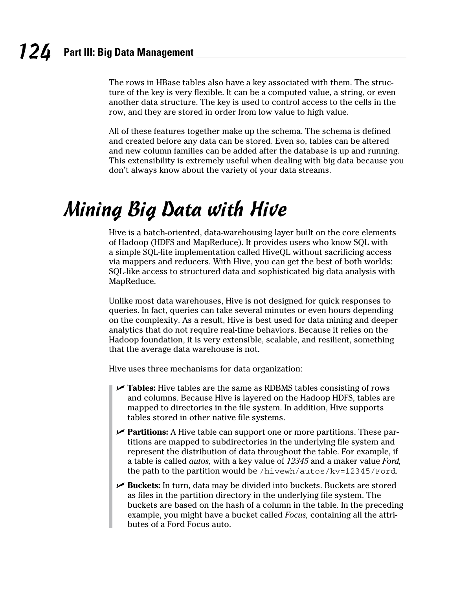The rows in HBase tables also have a key associated with them. The structure of the key is very flexible. It can be a computed value, a string, or even another data structure. The key is used to control access to the cells in the row, and they are stored in order from low value to high value.

All of these features together make up the schema. The schema is defined and created before any data can be stored. Even so, tables can be altered and new column families can be added after the database is up and running. This extensibility is extremely useful when dealing with big data because you don't always know about the variety of your data streams.

## Mining Big Data with Hive

Hive is a batch-oriented, data-warehousing layer built on the core elements of Hadoop (HDFS and MapReduce). It provides users who know SQL with a simple SQL-lite implementation called HiveQL without sacrificing access via mappers and reducers. With Hive, you can get the best of both worlds: SQL-like access to structured data and sophisticated big data analysis with MapReduce.

Unlike most data warehouses, Hive is not designed for quick responses to queries. In fact, queries can take several minutes or even hours depending on the complexity. As a result, Hive is best used for data mining and deeper analytics that do not require real-time behaviors. Because it relies on the Hadoop foundation, it is very extensible, scalable, and resilient, something that the average data warehouse is not.

Hive uses three mechanisms for data organization:

- ✓ **Tables:** Hive tables are the same as RDBMS tables consisting of rows and columns. Because Hive is layered on the Hadoop HDFS, tables are mapped to directories in the file system. In addition, Hive supports tables stored in other native file systems.
- ✓ **Partitions:** A Hive table can support one or more partitions. These partitions are mapped to subdirectories in the underlying file system and represent the distribution of data throughout the table. For example, if a table is called *autos,* with a key value of *12345* and a maker value *Ford,* the path to the partition would be /hivewh/autos/kv=12345/Ford.
- ✓ **Buckets:** In turn, data may be divided into buckets. Buckets are stored as files in the partition directory in the underlying file system. The buckets are based on the hash of a column in the table. In the preceding example, you might have a bucket called *Focus,* containing all the attributes of a Ford Focus auto.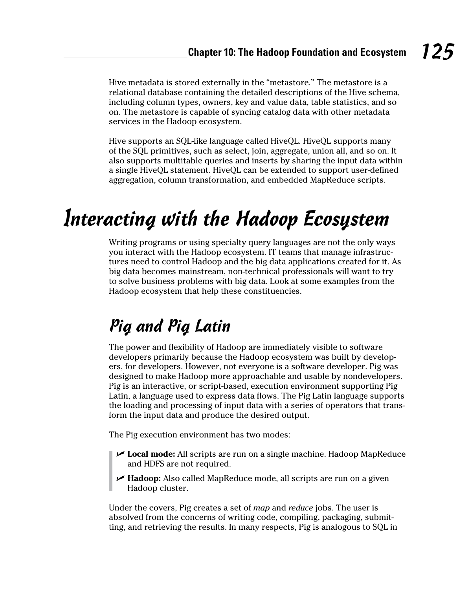Hive metadata is stored externally in the "metastore." The metastore is a relational database containing the detailed descriptions of the Hive schema, including column types, owners, key and value data, table statistics, and so on. The metastore is capable of syncing catalog data with other metadata services in the Hadoop ecosystem.

Hive supports an SQL-like language called HiveQL. HiveQL supports many of the SQL primitives, such as select, join, aggregate, union all, and so on. It also supports multitable queries and inserts by sharing the input data within a single HiveQL statement. HiveQL can be extended to support user-defined aggregation, column transformation, and embedded MapReduce scripts.

# Interacting with the Hadoop Ecosystem

Writing programs or using specialty query languages are not the only ways you interact with the Hadoop ecosystem. IT teams that manage infrastructures need to control Hadoop and the big data applications created for it. As big data becomes mainstream, non-technical professionals will want to try to solve business problems with big data. Look at some examples from the Hadoop ecosystem that help these constituencies.

### Pig and Pig Latin

The power and flexibility of Hadoop are immediately visible to software developers primarily because the Hadoop ecosystem was built by developers, for developers. However, not everyone is a software developer. Pig was designed to make Hadoop more approachable and usable by nondevelopers. Pig is an interactive, or script-based, execution environment supporting Pig Latin, a language used to express data flows. The Pig Latin language supports the loading and processing of input data with a series of operators that transform the input data and produce the desired output.

The Pig execution environment has two modes:

- ✓ **Local mode:** All scripts are run on a single machine. Hadoop MapReduce and HDFS are not required.
- ✓ **Hadoop:** Also called MapReduce mode, all scripts are run on a given Hadoop cluster.

Under the covers, Pig creates a set of *map* and *reduce* jobs. The user is absolved from the concerns of writing code, compiling, packaging, submitting, and retrieving the results. In many respects, Pig is analogous to SQL in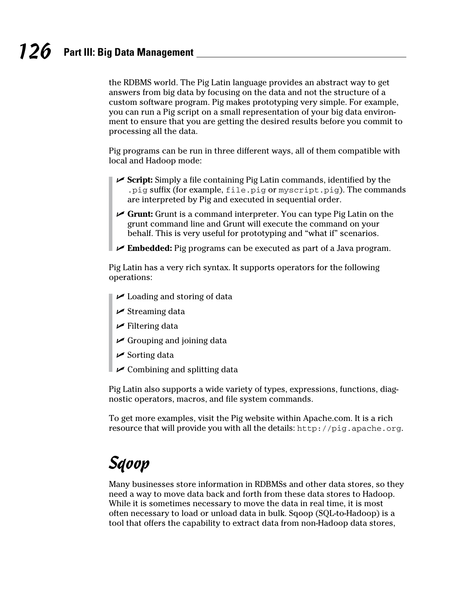the RDBMS world. The Pig Latin language provides an abstract way to get answers from big data by focusing on the data and not the structure of a custom software program. Pig makes prototyping very simple. For example, you can run a Pig script on a small representation of your big data environment to ensure that you are getting the desired results before you commit to processing all the data.

Pig programs can be run in three different ways, all of them compatible with local and Hadoop mode:

- ✓ **Script:** Simply a file containing Pig Latin commands, identified by the .pig suffix (for example, file.pig or myscript.pig). The commands are interpreted by Pig and executed in sequential order.
- ✓ **Grunt:** Grunt is a command interpreter. You can type Pig Latin on the grunt command line and Grunt will execute the command on your behalf. This is very useful for prototyping and "what if" scenarios.
- ✓ **Embedded:** Pig programs can be executed as part of a Java program.

Pig Latin has a very rich syntax. It supports operators for the following operations:

- $\triangleright$  Loading and storing of data
- $\triangleright$  Streaming data
- $\blacktriangleright$  Filtering data
- $\triangleright$  Grouping and joining data
- $\triangleright$  Sorting data
- $\triangleright$  Combining and splitting data

Pig Latin also supports a wide variety of types, expressions, functions, diagnostic operators, macros, and file system commands.

To get more examples, visit the Pig website within Apache.com. It is a rich resource that will provide you with all the details: [http://pig.apache.org](http://pig.apache.org/).

### Sqoop

Many businesses store information in RDBMSs and other data stores, so they need a way to move data back and forth from these data stores to Hadoop. While it is sometimes necessary to move the data in real time, it is most often necessary to load or unload data in bulk. Sqoop (SQL-to-Hadoop) is a tool that offers the capability to extract data from non-Hadoop data stores,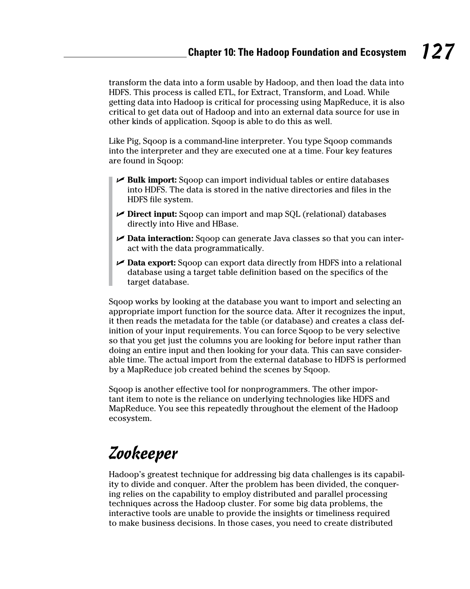transform the data into a form usable by Hadoop, and then load the data into HDFS. This process is called ETL, for Extract, Transform, and Load. While getting data into Hadoop is critical for processing using MapReduce, it is also critical to get data out of Hadoop and into an external data source for use in other kinds of application. Sqoop is able to do this as well.

Like Pig, Sqoop is a command-line interpreter. You type Sqoop commands into the interpreter and they are executed one at a time. Four key features are found in Sqoop:

- ✓ **Bulk import:** Sqoop can import individual tables or entire databases into HDFS. The data is stored in the native directories and files in the HDFS file system.
- ✓ **Direct input:** Sqoop can import and map SQL (relational) databases directly into Hive and HBase.
- ✓ **Data interaction:** Sqoop can generate Java classes so that you can interact with the data programmatically.
- ✓ **Data export:** Sqoop can export data directly from HDFS into a relational database using a target table definition based on the specifics of the target database.

Sqoop works by looking at the database you want to import and selecting an appropriate import function for the source data. After it recognizes the input, it then reads the metadata for the table (or database) and creates a class definition of your input requirements. You can force Sqoop to be very selective so that you get just the columns you are looking for before input rather than doing an entire input and then looking for your data. This can save considerable time. The actual import from the external database to HDFS is performed by a MapReduce job created behind the scenes by Sqoop.

Sqoop is another effective tool for nonprogrammers. The other important item to note is the reliance on underlying technologies like HDFS and MapReduce. You see this repeatedly throughout the element of the Hadoop ecosystem.

#### Zookeeper

Hadoop's greatest technique for addressing big data challenges is its capability to divide and conquer. After the problem has been divided, the conquering relies on the capability to employ distributed and parallel processing techniques across the Hadoop cluster. For some big data problems, the interactive tools are unable to provide the insights or timeliness required to make business decisions. In those cases, you need to create distributed